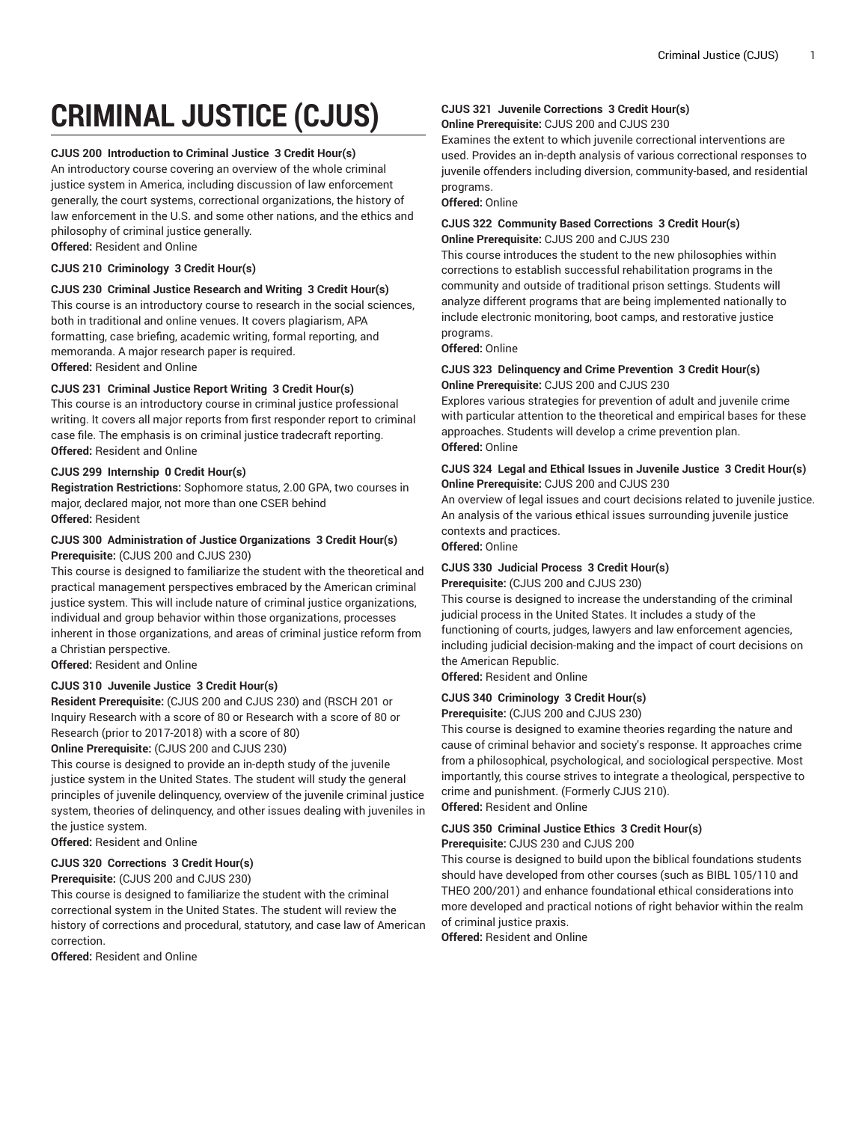# **CRIMINAL JUSTICE (CJUS)**

### **CJUS 200 Introduction to Criminal Justice 3 Credit Hour(s)**

An introductory course covering an overview of the whole criminal justice system in America, including discussion of law enforcement generally, the court systems, correctional organizations, the history of law enforcement in the U.S. and some other nations, and the ethics and philosophy of criminal justice generally. **Offered:** Resident and Online

### **CJUS 210 Criminology 3 Credit Hour(s)**

### **CJUS 230 Criminal Justice Research and Writing 3 Credit Hour(s)**

This course is an introductory course to research in the social sciences, both in traditional and online venues. It covers plagiarism, APA formatting, case briefing, academic writing, formal reporting, and memoranda. A major research paper is required.

**Offered:** Resident and Online

### **CJUS 231 Criminal Justice Report Writing 3 Credit Hour(s)**

This course is an introductory course in criminal justice professional writing. It covers all major reports from first responder report to criminal case file. The emphasis is on criminal justice tradecraft reporting. **Offered:** Resident and Online

### **CJUS 299 Internship 0 Credit Hour(s)**

**Registration Restrictions:** Sophomore status, 2.00 GPA, two courses in major, declared major, not more than one CSER behind **Offered:** Resident

### **CJUS 300 Administration of Justice Organizations 3 Credit Hour(s) Prerequisite:** (CJUS 200 and CJUS 230)

This course is designed to familiarize the student with the theoretical and practical management perspectives embraced by the American criminal justice system. This will include nature of criminal justice organizations, individual and group behavior within those organizations, processes inherent in those organizations, and areas of criminal justice reform from a Christian perspective.

**Offered:** Resident and Online

### **CJUS 310 Juvenile Justice 3 Credit Hour(s)**

**Resident Prerequisite:** (CJUS 200 and CJUS 230) and (RSCH 201 or Inquiry Research with a score of 80 or Research with a score of 80 or Research (prior to 2017-2018) with a score of 80)

**Online Prerequisite:** (CJUS 200 and CJUS 230)

This course is designed to provide an in-depth study of the juvenile justice system in the United States. The student will study the general principles of juvenile delinquency, overview of the juvenile criminal justice system, theories of delinquency, and other issues dealing with juveniles in the justice system.

**Offered:** Resident and Online

### **CJUS 320 Corrections 3 Credit Hour(s)**

**Prerequisite:** (CJUS 200 and CJUS 230)

This course is designed to familiarize the student with the criminal correctional system in the United States. The student will review the history of corrections and procedural, statutory, and case law of American correction.

**Offered:** Resident and Online

# **CJUS 321 Juvenile Corrections 3 Credit Hour(s)**

**Online Prerequisite:** CJUS 200 and CJUS 230

Examines the extent to which juvenile correctional interventions are used. Provides an in-depth analysis of various correctional responses to juvenile offenders including diversion, community-based, and residential programs.

**Offered:** Online

### **CJUS 322 Community Based Corrections 3 Credit Hour(s) Online Prerequisite:** CJUS 200 and CJUS 230

This course introduces the student to the new philosophies within corrections to establish successful rehabilitation programs in the community and outside of traditional prison settings. Students will analyze different programs that are being implemented nationally to include electronic monitoring, boot camps, and restorative justice programs.

**Offered:** Online

### **CJUS 323 Delinquency and Crime Prevention 3 Credit Hour(s) Online Prerequisite:** CJUS 200 and CJUS 230

Explores various strategies for prevention of adult and juvenile crime with particular attention to the theoretical and empirical bases for these approaches. Students will develop a crime prevention plan. **Offered:** Online

### **CJUS 324 Legal and Ethical Issues in Juvenile Justice 3 Credit Hour(s) Online Prerequisite:** CJUS 200 and CJUS 230

An overview of legal issues and court decisions related to juvenile justice. An analysis of the various ethical issues surrounding juvenile justice contexts and practices.

### **Offered:** Online

### **CJUS 330 Judicial Process 3 Credit Hour(s)**

**Prerequisite:** (CJUS 200 and CJUS 230)

This course is designed to increase the understanding of the criminal judicial process in the United States. It includes a study of the functioning of courts, judges, lawyers and law enforcement agencies, including judicial decision-making and the impact of court decisions on the American Republic.

**Offered:** Resident and Online

### **CJUS 340 Criminology 3 Credit Hour(s)**

**Prerequisite:** (CJUS 200 and CJUS 230)

This course is designed to examine theories regarding the nature and cause of criminal behavior and society's response. It approaches crime from a philosophical, psychological, and sociological perspective. Most importantly, this course strives to integrate a theological, perspective to crime and punishment. (Formerly CJUS 210).

**Offered:** Resident and Online

### **CJUS 350 Criminal Justice Ethics 3 Credit Hour(s)**

**Prerequisite:** CJUS 230 and CJUS 200

This course is designed to build upon the biblical foundations students should have developed from other courses (such as BIBL 105/110 and THEO 200/201) and enhance foundational ethical considerations into more developed and practical notions of right behavior within the realm of criminal justice praxis.

**Offered:** Resident and Online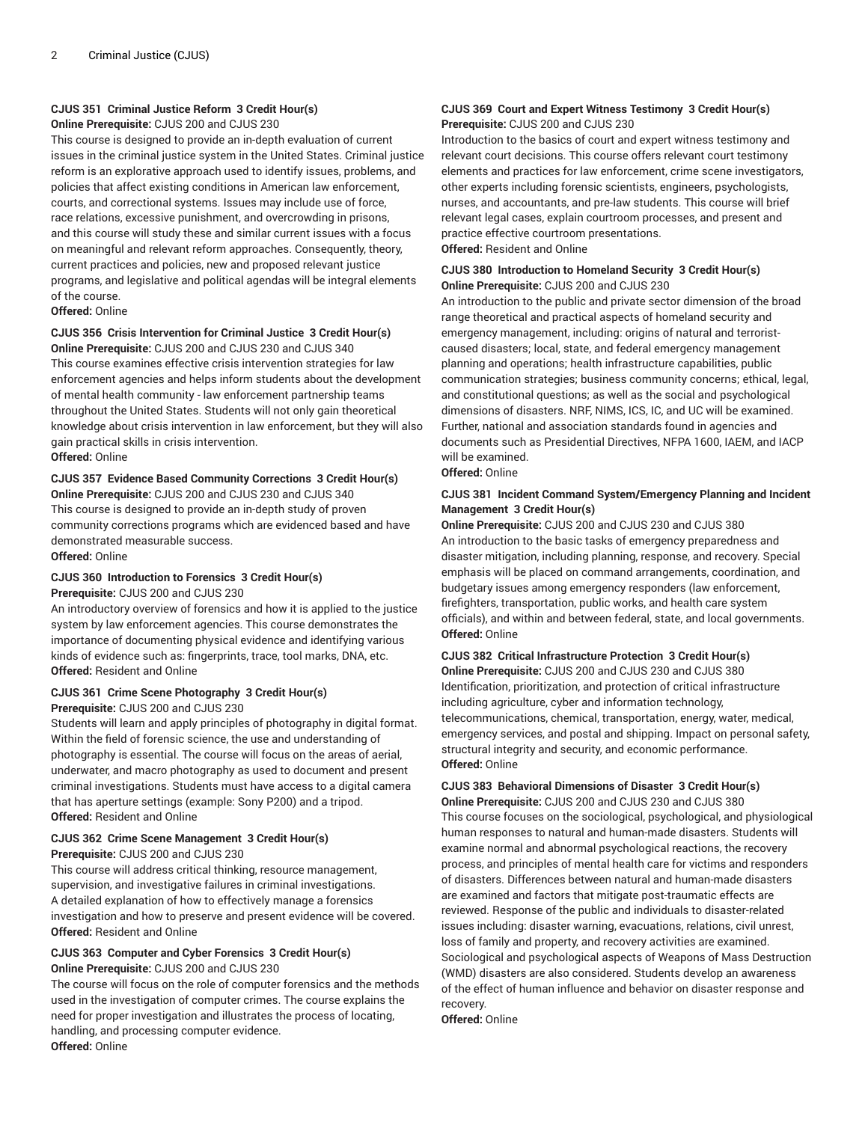### **CJUS 351 Criminal Justice Reform 3 Credit Hour(s)**

**Online Prerequisite:** CJUS 200 and CJUS 230

This course is designed to provide an in-depth evaluation of current issues in the criminal justice system in the United States. Criminal justice reform is an explorative approach used to identify issues, problems, and policies that affect existing conditions in American law enforcement, courts, and correctional systems. Issues may include use of force, race relations, excessive punishment, and overcrowding in prisons, and this course will study these and similar current issues with a focus on meaningful and relevant reform approaches. Consequently, theory, current practices and policies, new and proposed relevant justice programs, and legislative and political agendas will be integral elements of the course.

**Offered:** Online

### **CJUS 356 Crisis Intervention for Criminal Justice 3 Credit Hour(s)**

**Online Prerequisite:** CJUS 200 and CJUS 230 and CJUS 340 This course examines effective crisis intervention strategies for law enforcement agencies and helps inform students about the development of mental health community - law enforcement partnership teams throughout the United States. Students will not only gain theoretical knowledge about crisis intervention in law enforcement, but they will also gain practical skills in crisis intervention. **Offered:** Online

### **CJUS 357 Evidence Based Community Corrections 3 Credit Hour(s)**

**Online Prerequisite:** CJUS 200 and CJUS 230 and CJUS 340 This course is designed to provide an in-depth study of proven community corrections programs which are evidenced based and have demonstrated measurable success.

**Offered:** Online

### **CJUS 360 Introduction to Forensics 3 Credit Hour(s) Prerequisite:** CJUS 200 and CJUS 230

An introductory overview of forensics and how it is applied to the justice system by law enforcement agencies. This course demonstrates the importance of documenting physical evidence and identifying various kinds of evidence such as: fingerprints, trace, tool marks, DNA, etc. **Offered:** Resident and Online

### **CJUS 361 Crime Scene Photography 3 Credit Hour(s)**

### **Prerequisite:** CJUS 200 and CJUS 230

Students will learn and apply principles of photography in digital format. Within the field of forensic science, the use and understanding of photography is essential. The course will focus on the areas of aerial, underwater, and macro photography as used to document and present criminal investigations. Students must have access to a digital camera that has aperture settings (example: Sony P200) and a tripod. **Offered:** Resident and Online

### **CJUS 362 Crime Scene Management 3 Credit Hour(s)**

### **Prerequisite:** CJUS 200 and CJUS 230

This course will address critical thinking, resource management, supervision, and investigative failures in criminal investigations. A detailed explanation of how to effectively manage a forensics investigation and how to preserve and present evidence will be covered. **Offered:** Resident and Online

#### **CJUS 363 Computer and Cyber Forensics 3 Credit Hour(s) Online Prerequisite:** CJUS 200 and CJUS 230

The course will focus on the role of computer forensics and the methods used in the investigation of computer crimes. The course explains the need for proper investigation and illustrates the process of locating, handling, and processing computer evidence. **Offered:** Online

### **CJUS 369 Court and Expert Witness Testimony 3 Credit Hour(s) Prerequisite:** CJUS 200 and CJUS 230

Introduction to the basics of court and expert witness testimony and relevant court decisions. This course offers relevant court testimony elements and practices for law enforcement, crime scene investigators, other experts including forensic scientists, engineers, psychologists, nurses, and accountants, and pre-law students. This course will brief relevant legal cases, explain courtroom processes, and present and practice effective courtroom presentations. **Offered:** Resident and Online

### **CJUS 380 Introduction to Homeland Security 3 Credit Hour(s) Online Prerequisite:** CJUS 200 and CJUS 230

An introduction to the public and private sector dimension of the broad range theoretical and practical aspects of homeland security and emergency management, including: origins of natural and terroristcaused disasters; local, state, and federal emergency management planning and operations; health infrastructure capabilities, public communication strategies; business community concerns; ethical, legal, and constitutional questions; as well as the social and psychological dimensions of disasters. NRF, NIMS, ICS, IC, and UC will be examined. Further, national and association standards found in agencies and documents such as Presidential Directives, NFPA 1600, IAEM, and IACP will be examined.

**Offered:** Online

### **CJUS 381 Incident Command System/Emergency Planning and Incident Management 3 Credit Hour(s)**

**Online Prerequisite:** CJUS 200 and CJUS 230 and CJUS 380 An introduction to the basic tasks of emergency preparedness and disaster mitigation, including planning, response, and recovery. Special emphasis will be placed on command arrangements, coordination, and budgetary issues among emergency responders (law enforcement, firefighters, transportation, public works, and health care system officials), and within and between federal, state, and local governments. **Offered:** Online

### **CJUS 382 Critical Infrastructure Protection 3 Credit Hour(s)**

**Online Prerequisite:** CJUS 200 and CJUS 230 and CJUS 380 Identification, prioritization, and protection of critical infrastructure including agriculture, cyber and information technology, telecommunications, chemical, transportation, energy, water, medical, emergency services, and postal and shipping. Impact on personal safety, structural integrity and security, and economic performance. **Offered:** Online

## **CJUS 383 Behavioral Dimensions of Disaster 3 Credit Hour(s)**

**Online Prerequisite:** CJUS 200 and CJUS 230 and CJUS 380 This course focuses on the sociological, psychological, and physiological human responses to natural and human-made disasters. Students will examine normal and abnormal psychological reactions, the recovery process, and principles of mental health care for victims and responders of disasters. Differences between natural and human-made disasters are examined and factors that mitigate post-traumatic effects are reviewed. Response of the public and individuals to disaster-related issues including: disaster warning, evacuations, relations, civil unrest, loss of family and property, and recovery activities are examined. Sociological and psychological aspects of Weapons of Mass Destruction (WMD) disasters are also considered. Students develop an awareness of the effect of human influence and behavior on disaster response and recovery.

**Offered:** Online